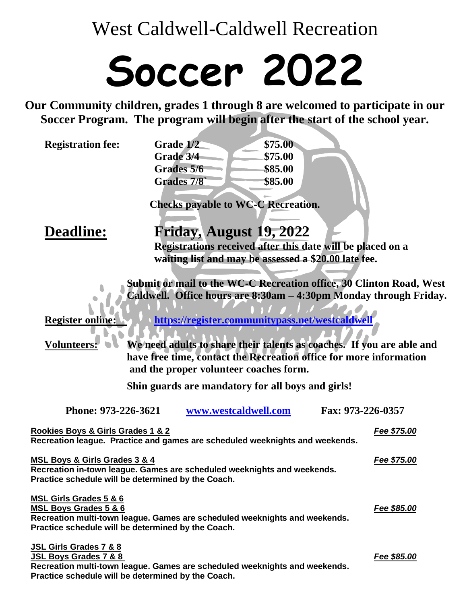West Caldwell-Caldwell Recreation

## **Soccer 2022**

**Our Community children, grades 1 through 8 are welcomed to participate in our Soccer Program. The program will begin after the start of the school year.**

| Grade 1/2  | \$75.00 |  |
|------------|---------|--|
| Grade 3/4  | \$75.00 |  |
| Grades 5/6 | \$85.00 |  |
| Grades 7/8 | \$85.00 |  |
|            |         |  |

**Checks payable to WC-C Recreation.**

## **Deadline: Friday, August 19, 2022**

**Registrations received after this date will be placed on a waiting list and may be assessed a \$20.00 late fee.**

**Submit or mail to the WC-C Recreation office, 30 Clinton Road, West Caldwell. Office hours are 8:30am – 4:30pm Monday through Friday.**

**Register online: <https://register.communitypass.net/westcaldwell>**

**Volunteers: We need adults to share their talents as coaches. If you are able and have free time, contact the Recreation office for more information and the proper volunteer coaches form.**

**Shin guards are mandatory for all boys and girls!**

| Phone: 973-226-3621                                                          | www.westcaldwell.com | Fax: 973-226-0357 |  |
|------------------------------------------------------------------------------|----------------------|-------------------|--|
| Rookies Boys & Girls Grades 1 & 2                                            |                      | Fee \$75.00       |  |
| Recreation league. Practice and games are scheduled weeknights and weekends. |                      |                   |  |
| MSL Boys & Girls Grades 3 & 4                                                |                      | Fee \$75.00       |  |
| Recreation in-town league. Games are scheduled weeknights and weekends.      |                      |                   |  |
| Practice schedule will be determined by the Coach.                           |                      |                   |  |
| MSL Girls Grades 5 & 6                                                       |                      |                   |  |
| <b>MSL Boys Grades 5 &amp; 6</b>                                             |                      | Fee \$85.00       |  |
| Recreation multi-town league. Games are scheduled weeknights and weekends.   |                      |                   |  |
| Practice schedule will be determined by the Coach.                           |                      |                   |  |
| <b>JSL Girls Grades 7 &amp; 8</b>                                            |                      |                   |  |
| JSL Boys Grades 7 & 8                                                        |                      | Fee \$85.00       |  |
| Recreation multi-town league. Games are scheduled weeknights and weekends.   |                      |                   |  |
| Practice schedule will be determined by the Coach.                           |                      |                   |  |